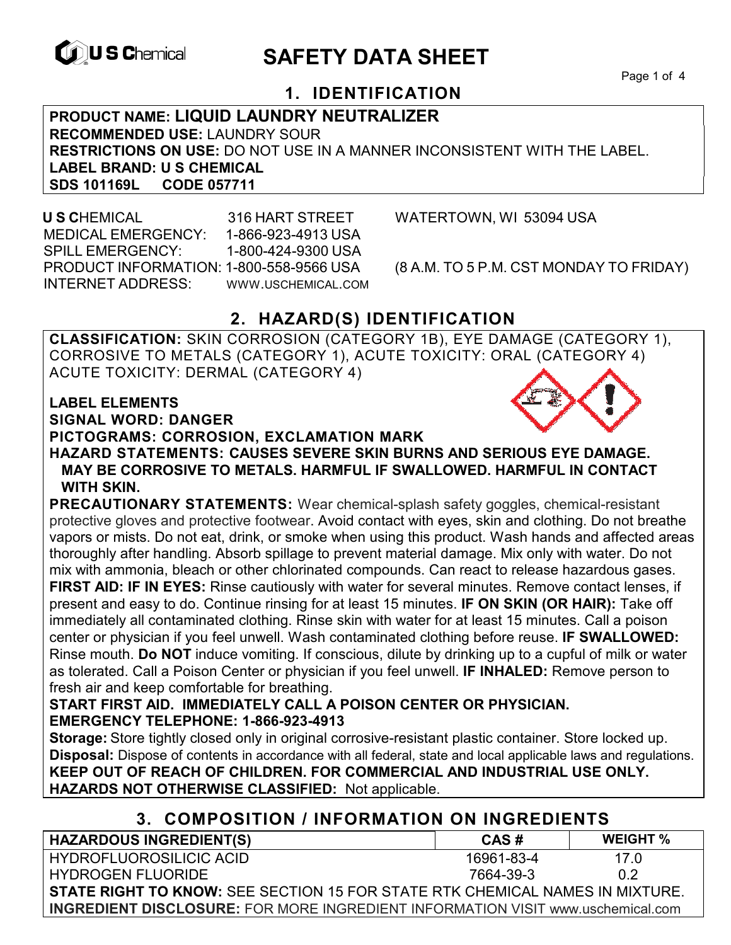

# **EXAGREM** SAFETY DATA SHEET

Page 1 of 4

# **1. IDENTIFICATION**

**PRODUCT NAME: LIQUID LAUNDRY NEUTRALIZER RECOMMENDED USE:** LAUNDRY SOUR **RESTRICTIONS ON USE:** DO NOT USE IN A MANNER INCONSISTENT WITH THE LABEL. **LABEL BRAND: U S CHEMICAL SDS 101169L** 

 **U S C**HEMICAL 316 HART STREET WATERTOWN, WI 53094 USA MEDICAL EMERGENCY: 1-866-923-4913 USA SPILL EMERGENCY: 1-800-424-9300 USA PRODUCT INFORMATION: 1-800-558-9566 USA (8 A.M. TO 5 P.M. CST MONDAY TO FRIDAY) INTERNET ADDRESS: WWW.USCHEMICAL.COM

# **2. HAZARD(S) IDENTIFICATION**

**CLASSIFICATION:** SKIN CORROSION (CATEGORY 1B), EYE DAMAGE (CATEGORY 1), CORROSIVE TO METALS (CATEGORY 1), ACUTE TOXICITY: ORAL (CATEGORY 4) ACUTE TOXICITY: DERMAL (CATEGORY 4)

#### **LABEL ELEMENTS**

**SIGNAL WORD: DANGER**

#### **PICTOGRAMS: CORROSION, EXCLAMATION MARK**

**HAZARD STATEMENTS: CAUSES SEVERE SKIN BURNS AND SERIOUS EYE DAMAGE. MAY BE CORROSIVE TO METALS. HARMFUL IF SWALLOWED. HARMFUL IN CONTACT WITH SKIN.**

**PRECAUTIONARY STATEMENTS:** Wear chemical-splash safety goggles, chemical-resistant protective gloves and protective footwear. Avoid contact with eyes, skin and clothing. Do not breathe vapors or mists. Do not eat, drink, or smoke when using this product. Wash hands and affected areas thoroughly after handling. Absorb spillage to prevent material damage. Mix only with water. Do not mix with ammonia, bleach or other chlorinated compounds. Can react to release hazardous gases. **FIRST AID: IF IN EYES:** Rinse cautiously with water for several minutes. Remove contact lenses, if present and easy to do. Continue rinsing for at least 15 minutes. **IF ON SKIN (OR HAIR):** Take off immediately all contaminated clothing. Rinse skin with water for at least 15 minutes. Call a poison center or physician if you feel unwell. Wash contaminated clothing before reuse. **IF SWALLOWED:**  Rinse mouth. **Do NOT** induce vomiting. If conscious, dilute by drinking up to a cupful of milk or water as tolerated. Call a Poison Center or physician if you feel unwell. **IF INHALED:** Remove person to fresh air and keep comfortable for breathing.

### **START FIRST AID. IMMEDIATELY CALL A POISON CENTER OR PHYSICIAN. EMERGENCY TELEPHONE: 1-866-923-4913**

**Storage:** Store tightly closed only in original corrosive-resistant plastic container. Store locked up. **Disposal:** Dispose of contents in accordance with all federal, state and local applicable laws and regulations. **KEEP OUT OF REACH OF CHILDREN. FOR COMMERCIAL AND INDUSTRIAL USE ONLY. HAZARDS NOT OTHERWISE CLASSIFIED:** Not applicable.

## **3. COMPOSITION / INFORMATION ON INGREDIENTS**

| <b>HAZARDOUS INGREDIENT(S)</b>                                                         | CAS#       | <b>WEIGHT</b> % |
|----------------------------------------------------------------------------------------|------------|-----------------|
| <b>HYDROFLUOROSILICIC ACID</b>                                                         | 16961-83-4 | 17 O            |
| HYDROGEN FLUORIDE                                                                      | 7664-39-3  | 0.2             |
| <b>STATE RIGHT TO KNOW: SEE SECTION 15 FOR STATE RTK CHEMICAL NAMES IN MIXTURE.</b>    |            |                 |
| <b>INGREDIENT DISCLOSURE:</b> FOR MORE INGREDIENT INFORMATION VISIT www.uschemical.com |            |                 |

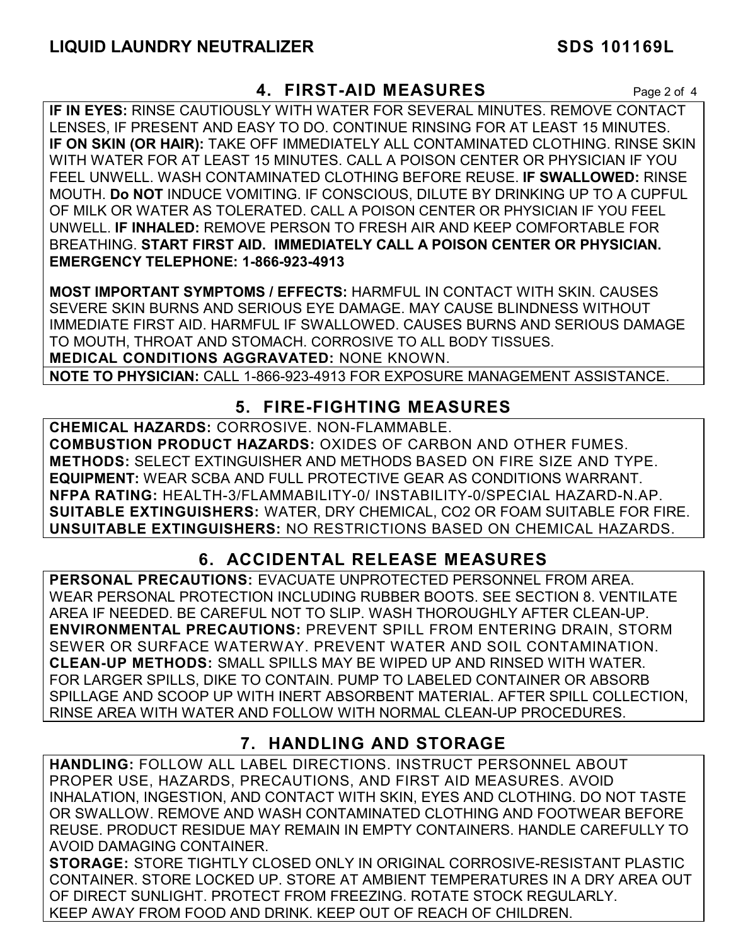## **4. FIRST-AID MEASURES** Page 2 of 4

**IF IN EYES:** RINSE CAUTIOUSLY WITH WATER FOR SEVERAL MINUTES. REMOVE CONTACT LENSES, IF PRESENT AND EASY TO DO. CONTINUE RINSING FOR AT LEAST 15 MINUTES. **IF ON SKIN (OR HAIR):** TAKE OFF IMMEDIATELY ALL CONTAMINATED CLOTHING. RINSE SKIN WITH WATER FOR AT LEAST 15 MINUTES. CALL A POISON CENTER OR PHYSICIAN IF YOU FEEL UNWELL. WASH CONTAMINATED CLOTHING BEFORE REUSE. **IF SWALLOWED:** RINSE MOUTH. **Do NOT** INDUCE VOMITING. IF CONSCIOUS, DILUTE BY DRINKING UP TO A CUPFUL OF MILK OR WATER AS TOLERATED. CALL A POISON CENTER OR PHYSICIAN IF YOU FEEL UNWELL. **IF INHALED:** REMOVE PERSON TO FRESH AIR AND KEEP COMFORTABLE FOR BREATHING. **START FIRST AID. IMMEDIATELY CALL A POISON CENTER OR PHYSICIAN. EMERGENCY TELEPHONE: 1-866-923-4913**

**MOST IMPORTANT SYMPTOMS / EFFECTS:** HARMFUL IN CONTACT WITH SKIN. CAUSES SEVERE SKIN BURNS AND SERIOUS EYE DAMAGE. MAY CAUSE BLINDNESS WITHOUT IMMEDIATE FIRST AID. HARMFUL IF SWALLOWED. CAUSES BURNS AND SERIOUS DAMAGE TO MOUTH, THROAT AND STOMACH. CORROSIVE TO ALL BODY TISSUES. **MEDICAL CONDITIONS AGGRAVATED:** NONE KNOWN.

**NOTE TO PHYSICIAN:** CALL 1-866-923-4913 FOR EXPOSURE MANAGEMENT ASSISTANCE.

## **5. FIRE-FIGHTING MEASURES**

**CHEMICAL HAZARDS:** CORROSIVE. NON-FLAMMABLE. **COMBUSTION PRODUCT HAZARDS:** OXIDES OF CARBON AND OTHER FUMES. **METHODS:** SELECT EXTINGUISHER AND METHODS BASED ON FIRE SIZE AND TYPE. **EQUIPMENT:** WEAR SCBA AND FULL PROTECTIVE GEAR AS CONDITIONS WARRANT. **NFPA RATING:** HEALTH-3/FLAMMABILITY-0/ INSTABILITY-0/SPECIAL HAZARD-N.AP. **SUITABLE EXTINGUISHERS:** WATER, DRY CHEMICAL, CO2 OR FOAM SUITABLE FOR FIRE. **UNSUITABLE EXTINGUISHERS:** NO RESTRICTIONS BASED ON CHEMICAL HAZARDS.

# **6. ACCIDENTAL RELEASE MEASURES**

**PERSONAL PRECAUTIONS:** EVACUATE UNPROTECTED PERSONNEL FROM AREA. WEAR PERSONAL PROTECTION INCLUDING RUBBER BOOTS. SEE SECTION 8. VENTILATE AREA IF NEEDED. BE CAREFUL NOT TO SLIP. WASH THOROUGHLY AFTER CLEAN-UP. **ENVIRONMENTAL PRECAUTIONS:** PREVENT SPILL FROM ENTERING DRAIN, STORM SEWER OR SURFACE WATERWAY. PREVENT WATER AND SOIL CONTAMINATION. **CLEAN-UP METHODS:** SMALL SPILLS MAY BE WIPED UP AND RINSED WITH WATER. FOR LARGER SPILLS, DIKE TO CONTAIN. PUMP TO LABELED CONTAINER OR ABSORB SPILLAGE AND SCOOP UP WITH INERT ABSORBENT MATERIAL. AFTER SPILL COLLECTION, RINSE AREA WITH WATER AND FOLLOW WITH NORMAL CLEAN-UP PROCEDURES.

## **7. HANDLING AND STORAGE**

**HANDLING:** FOLLOW ALL LABEL DIRECTIONS. INSTRUCT PERSONNEL ABOUT PROPER USE, HAZARDS, PRECAUTIONS, AND FIRST AID MEASURES. AVOID INHALATION, INGESTION, AND CONTACT WITH SKIN, EYES AND CLOTHING. DO NOT TASTE OR SWALLOW. REMOVE AND WASH CONTAMINATED CLOTHING AND FOOTWEAR BEFORE REUSE. PRODUCT RESIDUE MAY REMAIN IN EMPTY CONTAINERS. HANDLE CAREFULLY TO AVOID DAMAGING CONTAINER.

**STORAGE:** STORE TIGHTLY CLOSED ONLY IN ORIGINAL CORROSIVE-RESISTANT PLASTIC CONTAINER. STORE LOCKED UP. STORE AT AMBIENT TEMPERATURES IN A DRY AREA OUT OF DIRECT SUNLIGHT. PROTECT FROM FREEZING. ROTATE STOCK REGULARLY. KEEP AWAY FROM FOOD AND DRINK. KEEP OUT OF REACH OF CHILDREN.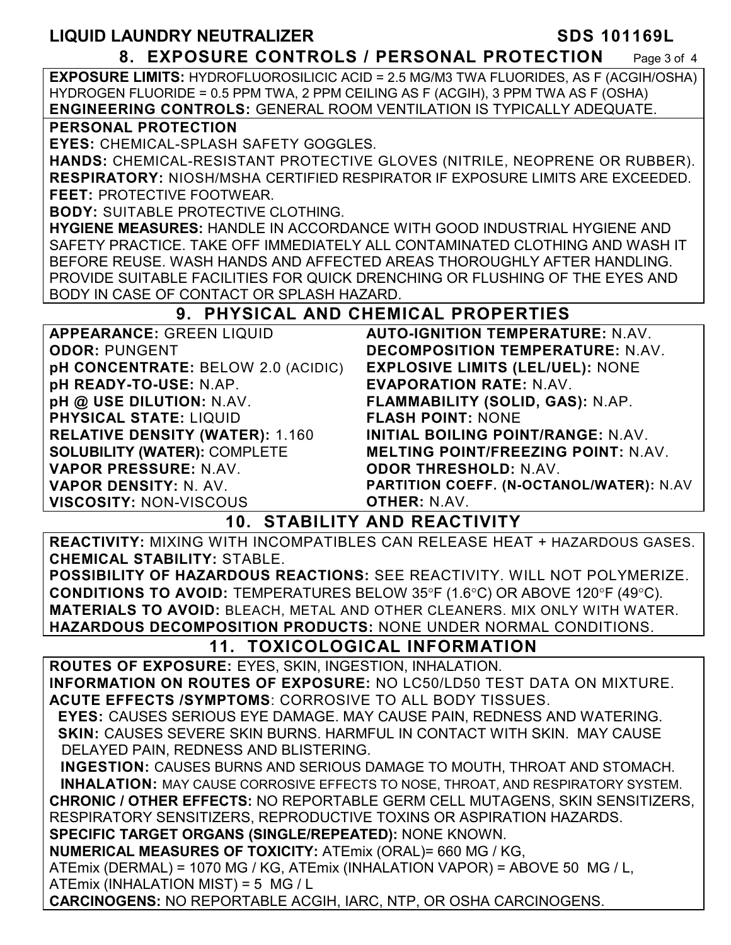| <b>LIQUID LAUNDRY NEUTRALIZER</b>                                                                                                                                     | <b>SDS 101169L</b>                                                                           |  |
|-----------------------------------------------------------------------------------------------------------------------------------------------------------------------|----------------------------------------------------------------------------------------------|--|
|                                                                                                                                                                       | 8. EXPOSURE CONTROLS / PERSONAL PROTECTION<br>Page 3 of 4                                    |  |
|                                                                                                                                                                       | <b>EXPOSURE LIMITS: HYDROFLUOROSILICIC ACID = 2.5 MG/M3 TWA FLUORIDES, AS F (ACGIH/OSHA)</b> |  |
| HYDROGEN FLUORIDE = 0.5 PPM TWA, 2 PPM CEILING AS F (ACGIH), 3 PPM TWA AS F (OSHA)                                                                                    |                                                                                              |  |
| <b>ENGINEERING CONTROLS: GENERAL ROOM VENTILATION IS TYPICALLY ADEQUATE.</b>                                                                                          |                                                                                              |  |
| PERSONAL PROTECTION                                                                                                                                                   |                                                                                              |  |
| <b>EYES: CHEMICAL-SPLASH SAFETY GOGGLES.</b>                                                                                                                          |                                                                                              |  |
| HANDS: CHEMICAL-RESISTANT PROTECTIVE GLOVES (NITRILE, NEOPRENE OR RUBBER).                                                                                            |                                                                                              |  |
| <b>RESPIRATORY:</b> NIOSH/MSHA CERTIFIED RESPIRATOR IF EXPOSURE LIMITS ARE EXCEEDED.                                                                                  |                                                                                              |  |
| <b>FEET: PROTECTIVE FOOTWEAR.</b>                                                                                                                                     |                                                                                              |  |
| <b>BODY: SUITABLE PROTECTIVE CLOTHING.</b>                                                                                                                            |                                                                                              |  |
| <b>HYGIENE MEASURES: HANDLE IN ACCORDANCE WITH GOOD INDUSTRIAL HYGIENE AND</b>                                                                                        |                                                                                              |  |
| SAFETY PRACTICE. TAKE OFF IMMEDIATELY ALL CONTAMINATED CLOTHING AND WASH IT                                                                                           |                                                                                              |  |
|                                                                                                                                                                       | BEFORE REUSE. WASH HANDS AND AFFECTED AREAS THOROUGHLY AFTER HANDLING.                       |  |
| PROVIDE SUITABLE FACILITIES FOR QUICK DRENCHING OR FLUSHING OF THE EYES AND                                                                                           |                                                                                              |  |
| BODY IN CASE OF CONTACT OR SPLASH HAZARD.                                                                                                                             |                                                                                              |  |
|                                                                                                                                                                       | 9. PHYSICAL AND CHEMICAL PROPERTIES                                                          |  |
| <b>APPEARANCE: GREEN LIQUID</b>                                                                                                                                       | <b>AUTO-IGNITION TEMPERATURE: N.AV.</b>                                                      |  |
| <b>ODOR: PUNGENT</b>                                                                                                                                                  | <b>DECOMPOSITION TEMPERATURE: N.AV.</b>                                                      |  |
| pH CONCENTRATE: BELOW 2.0 (ACIDIC)                                                                                                                                    | <b>EXPLOSIVE LIMITS (LEL/UEL): NONE</b>                                                      |  |
| pH READY-TO-USE: N.AP.                                                                                                                                                | <b>EVAPORATION RATE: N.AV.</b>                                                               |  |
| pH @ USE DILUTION: N.AV.                                                                                                                                              | FLAMMABILITY (SOLID, GAS): N.AP.                                                             |  |
| <b>PHYSICAL STATE: LIQUID</b>                                                                                                                                         | <b>FLASH POINT: NONE</b>                                                                     |  |
| <b>RELATIVE DENSITY (WATER): 1.160</b>                                                                                                                                | INITIAL BOILING POINT/RANGE: N.AV.                                                           |  |
| <b>SOLUBILITY (WATER): COMPLETE</b>                                                                                                                                   | <b>MELTING POINT/FREEZING POINT: N.AV.</b>                                                   |  |
| <b>VAPOR PRESSURE: N.AV.</b>                                                                                                                                          | <b>ODOR THRESHOLD: N.AV.</b>                                                                 |  |
| <b>VAPOR DENSITY: N. AV.</b><br><b>VISCOSITY: NON-VISCOUS</b>                                                                                                         | PARTITION COEFF. (N-OCTANOL/WATER): N.AV<br><b>OTHER: N.AV.</b>                              |  |
|                                                                                                                                                                       | <b>10. STABILITY AND REACTIVITY</b>                                                          |  |
|                                                                                                                                                                       | <b>REACTIVITY: MIXING WITH INCOMPATIBLES CAN RELEASE HEAT + HAZARDOUS GASES.</b>             |  |
| <b>CHEMICAL STABILITY: STABLE.</b>                                                                                                                                    |                                                                                              |  |
|                                                                                                                                                                       |                                                                                              |  |
| <b>POSSIBILITY OF HAZARDOUS REACTIONS: SEE REACTIVITY. WILL NOT POLYMERIZE.</b><br><b>CONDITIONS TO AVOID:</b> TEMPERATURES BELOW 35°F (1.6°C) OR ABOVE 120°F (49°C). |                                                                                              |  |
|                                                                                                                                                                       | <b>MATERIALS TO AVOID: BLEACH, METAL AND OTHER CLEANERS. MIX ONLY WITH WATER.</b>            |  |
|                                                                                                                                                                       |                                                                                              |  |
| HAZARDOUS DECOMPOSITION PRODUCTS: NONE UNDER NORMAL CONDITIONS.<br><b>11. TOXICOLOGICAL INFORMATION</b>                                                               |                                                                                              |  |
| ROUTES OF EXPOSURE: EYES, SKIN, INGESTION, INHALATION.                                                                                                                |                                                                                              |  |
|                                                                                                                                                                       | INFORMATION ON ROUTES OF EXPOSURE: NO LC50/LD50 TEST DATA ON MIXTURE.                        |  |
| <b>ACUTE EFFECTS /SYMPTOMS: CORROSIVE TO ALL BODY TISSUES.</b>                                                                                                        |                                                                                              |  |
| <b>EYES: CAUSES SERIOUS EYE DAMAGE. MAY CAUSE PAIN, REDNESS AND WATERING.</b>                                                                                         |                                                                                              |  |
| <b>SKIN: CAUSES SEVERE SKIN BURNS. HARMFUL IN CONTACT WITH SKIN. MAY CAUSE</b>                                                                                        |                                                                                              |  |
| DELAYED PAIN, REDNESS AND BLISTERING.                                                                                                                                 |                                                                                              |  |
| INGESTION: CAUSES BURNS AND SERIOUS DAMAGE TO MOUTH, THROAT AND STOMACH.                                                                                              |                                                                                              |  |
| <b>INHALATION:</b> MAY CAUSE CORROSIVE EFFECTS TO NOSE, THROAT, AND RESPIRATORY SYSTEM.                                                                               |                                                                                              |  |
| <b>CHRONIC / OTHER EFFECTS: NO REPORTABLE GERM CELL MUTAGENS, SKIN SENSITIZERS,</b>                                                                                   |                                                                                              |  |
| RESPIRATORY SENSITIZERS, REPRODUCTIVE TOXINS OR ASPIRATION HAZARDS.                                                                                                   |                                                                                              |  |
| SPECIFIC TARGET ORGANS (SINGLE/REPEATED): NONE KNOWN.                                                                                                                 |                                                                                              |  |
| <b>NUMERICAL MEASURES OF TOXICITY: ATEmix (ORAL)= 660 MG / KG,</b>                                                                                                    |                                                                                              |  |
| ATEmix (DERMAL) = 1070 MG / KG, ATEmix (INHALATION VAPOR) = ABOVE 50 MG / L,                                                                                          |                                                                                              |  |
| ATEmix (INHALATION MIST) = 5 MG / L                                                                                                                                   |                                                                                              |  |
| <b>CARCINOGENS: NO REPORTABLE ACGIH, IARC, NTP, OR OSHA CARCINOGENS.</b>                                                                                              |                                                                                              |  |
|                                                                                                                                                                       |                                                                                              |  |